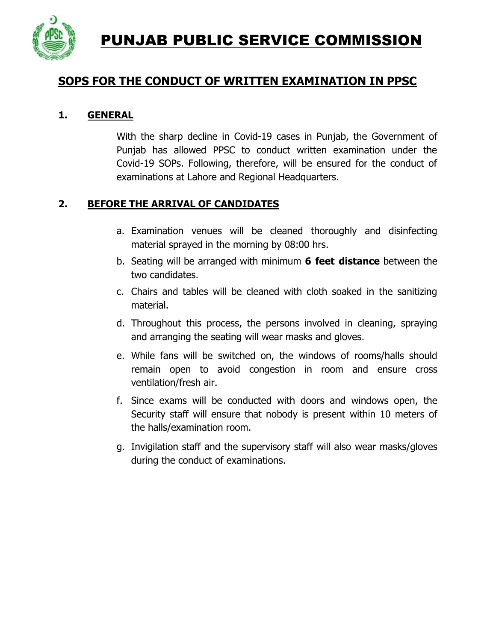PUNJAB PUBLIC SERVICE COMMISSION



# **SOPS FOR THE CONDUCT OF WRITTEN EXAMINATION IN PPSC**

#### **1. GENERAL**

With the sharp decline in Covid-19 cases in Punjab, the Government of Punjab has allowed PPSC to conduct written examination under the Covid-19 SOPs. Following, therefore, will be ensured for the conduct of examinations at Lahore and Regional Headquarters.

### **2. BEFORE THE ARRIVAL OF CANDIDATES**

- a. Examination venues will be cleaned thoroughly and disinfecting material sprayed in the morning by 08:00 hrs.
- b. Seating will be arranged with minimum **6 feet distance** between the two candidates.
- c. Chairs and tables will be cleaned with cloth soaked in the sanitizing material.
- d. Throughout this process, the persons involved in cleaning, spraying and arranging the seating will wear masks and gloves.
- e. While fans will be switched on, the windows of rooms/halls should remain open to avoid congestion in room and ensure cross ventilation/fresh air.
- f. Since exams will be conducted with doors and windows open, the Security staff will ensure that nobody is present within 10 meters of the halls/examination room.
- g. Invigilation staff and the supervisory staff will also wear masks/gloves during the conduct of examinations.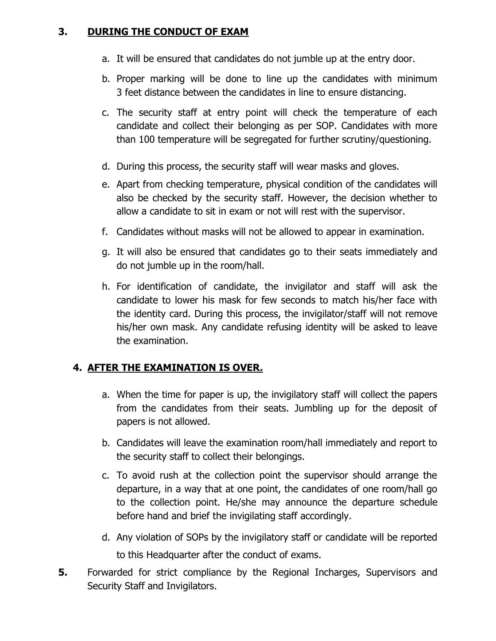#### **3. DURING THE CONDUCT OF EXAM**

- a. It will be ensured that candidates do not jumble up at the entry door.
- b. Proper marking will be done to line up the candidates with minimum 3 feet distance between the candidates in line to ensure distancing.
- c. The security staff at entry point will check the temperature of each candidate and collect their belonging as per SOP. Candidates with more than 100 temperature will be segregated for further scrutiny/questioning.
- d. During this process, the security staff will wear masks and gloves.
- e. Apart from checking temperature, physical condition of the candidates will also be checked by the security staff. However, the decision whether to allow a candidate to sit in exam or not will rest with the supervisor.
- f. Candidates without masks will not be allowed to appear in examination.
- g. It will also be ensured that candidates go to their seats immediately and do not jumble up in the room/hall.
- h. For identification of candidate, the invigilator and staff will ask the candidate to lower his mask for few seconds to match his/her face with the identity card. During this process, the invigilator/staff will not remove his/her own mask. Any candidate refusing identity will be asked to leave the examination.

## **4. AFTER THE EXAMINATION IS OVER.**

- a. When the time for paper is up, the invigilatory staff will collect the papers from the candidates from their seats. Jumbling up for the deposit of papers is not allowed.
- b. Candidates will leave the examination room/hall immediately and report to the security staff to collect their belongings.
- c. To avoid rush at the collection point the supervisor should arrange the departure, in a way that at one point, the candidates of one room/hall go to the collection point. He/she may announce the departure schedule before hand and brief the invigilating staff accordingly.
- d. Any violation of SOPs by the invigilatory staff or candidate will be reported to this Headquarter after the conduct of exams.
- **5.** Forwarded for strict compliance by the Regional Incharges, Supervisors and Security Staff and Invigilators.